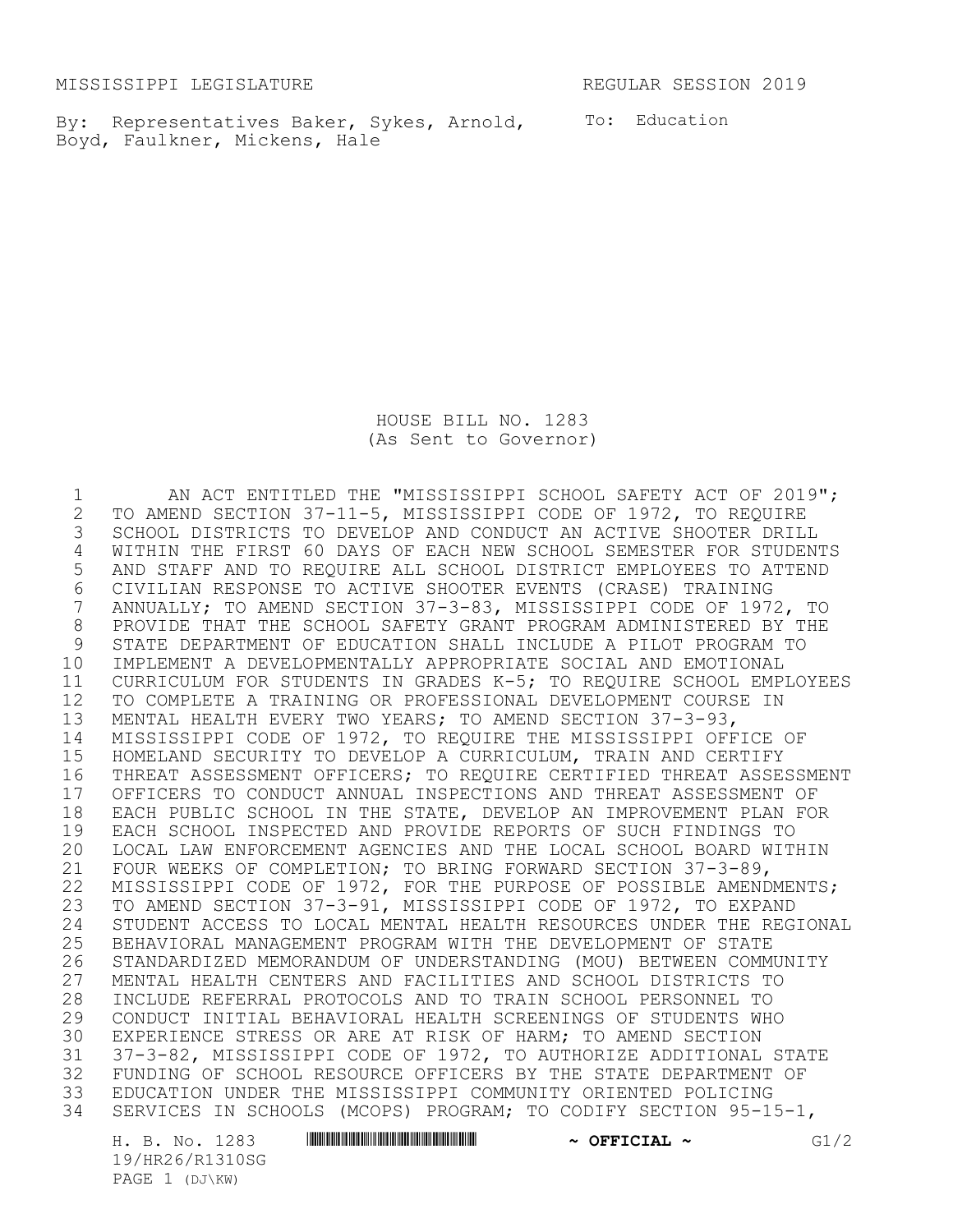MISSISSIPPI LEGISLATURE REGULAR SESSION 2019

By: Representatives Baker, Sykes, Arnold, To: Education Boyd, Faulkner, Mickens, Hale

HOUSE BILL NO. 1283 (As Sent to Governor)

1 AN ACT ENTITLED THE "MISSISSIPPI SCHOOL SAFETY ACT OF 2019";<br>2 TO AMEND SECTION 37-11-5, MISSISSIPPI CODE OF 1972, TO REQUIRE TO AMEND SECTION 37-11-5, MISSISSIPPI CODE OF 1972, TO REQUIRE SCHOOL DISTRICTS TO DEVELOP AND CONDUCT AN ACTIVE SHOOTER DRILL WITHIN THE FIRST 60 DAYS OF EACH NEW SCHOOL SEMESTER FOR STUDENTS AND STAFF AND TO REQUIRE ALL SCHOOL DISTRICT EMPLOYEES TO ATTEND CIVILIAN RESPONSE TO ACTIVE SHOOTER EVENTS (CRASE) TRAINING ANNUALLY; TO AMEND SECTION 37-3-83, MISSISSIPPI CODE OF 1972, TO 8 PROVIDE THAT THE SCHOOL SAFETY GRANT PROGRAM ADMINISTERED BY THE<br>9 STATE DEPARTMENT OF EDUCATION SHALL INCLUDE A PILOT PROGRAM TO STATE DEPARTMENT OF EDUCATION SHALL INCLUDE A PILOT PROGRAM TO IMPLEMENT A DEVELOPMENTALLY APPROPRIATE SOCIAL AND EMOTIONAL CURRICULUM FOR STUDENTS IN GRADES K-5; TO REQUIRE SCHOOL EMPLOYEES TO COMPLETE A TRAINING OR PROFESSIONAL DEVELOPMENT COURSE IN MENTAL HEALTH EVERY TWO YEARS; TO AMEND SECTION 37-3-93, MISSISSIPPI CODE OF 1972, TO REQUIRE THE MISSISSIPPI OFFICE OF HOMELAND SECURITY TO DEVELOP A CURRICULUM, TRAIN AND CERTIFY THREAT ASSESSMENT OFFICERS; TO REQUIRE CERTIFIED THREAT ASSESSMENT 17 OFFICERS TO CONDUCT ANNUAL INSPECTIONS AND THREAT ASSESSMENT OF<br>18 EACH PUBLIC SCHOOL IN THE STATE, DEVELOP AN IMPROVEMENT PLAN FOI 18 EACH PUBLIC SCHOOL IN THE STATE, DEVELOP AN IMPROVEMENT PLAN FOR<br>19 EACH SCHOOL INSPECTED AND PROVIDE REPORTS OF SUCH FINDINGS TO EACH SCHOOL INSPECTED AND PROVIDE REPORTS OF SUCH FINDINGS TO LOCAL LAW ENFORCEMENT AGENCIES AND THE LOCAL SCHOOL BOARD WITHIN FOUR WEEKS OF COMPLETION; TO BRING FORWARD SECTION 37-3-89, 22 MISSISSIPPI CODE OF 1972, FOR THE PURPOSE OF POSSIBLE AMENDMENTS; TO AMEND SECTION 37-3-91, MISSISSIPPI CODE OF 1972, TO EXPAND 24 STUDENT ACCESS TO LOCAL MENTAL HEALTH RESOURCES UNDER THE REGIONAL<br>25 BEHAVIORAL MANAGEMENT PROGRAM WITH THE DEVELOPMENT OF STATE 25 BEHAVIORAL MANAGEMENT PROGRAM WITH THE DEVELOPMENT OF STATE<br>26 STANDARDIZED MEMORANDUM OF UNDERSTANDING (MOU) BETWEEN COMM 26 STANDARDIZED MEMORANDUM OF UNDERSTANDING (MOU) BETWEEN COMMUNITY<br>27 MENTAL HEALTH CENTERS AND FACILITIES AND SCHOOL DISTRICTS TO MENTAL HEALTH CENTERS AND FACILITIES AND SCHOOL DISTRICTS TO INCLUDE REFERRAL PROTOCOLS AND TO TRAIN SCHOOL PERSONNEL TO CONDUCT INITIAL BEHAVIORAL HEALTH SCREENINGS OF STUDENTS WHO EXPERIENCE STRESS OR ARE AT RISK OF HARM; TO AMEND SECTION 37-3-82, MISSISSIPPI CODE OF 1972, TO AUTHORIZE ADDITIONAL STATE 32 FUNDING OF SCHOOL RESOURCE OFFICERS BY THE STATE DEPARTMENT OF<br>33 EDUCATION UNDER THE MISSISSIPPI COMMUNITY ORIENTED POLICING EDUCATION UNDER THE MISSISSIPPI COMMUNITY ORIENTED POLICING SERVICES IN SCHOOLS (MCOPS) PROGRAM; TO CODIFY SECTION 95-15-1,

19/HR26/R1310SG PAGE 1 (DJ\KW)

H. B. No. 1283 \*HR26/R1310SG\* **~ OFFICIAL ~** G1/2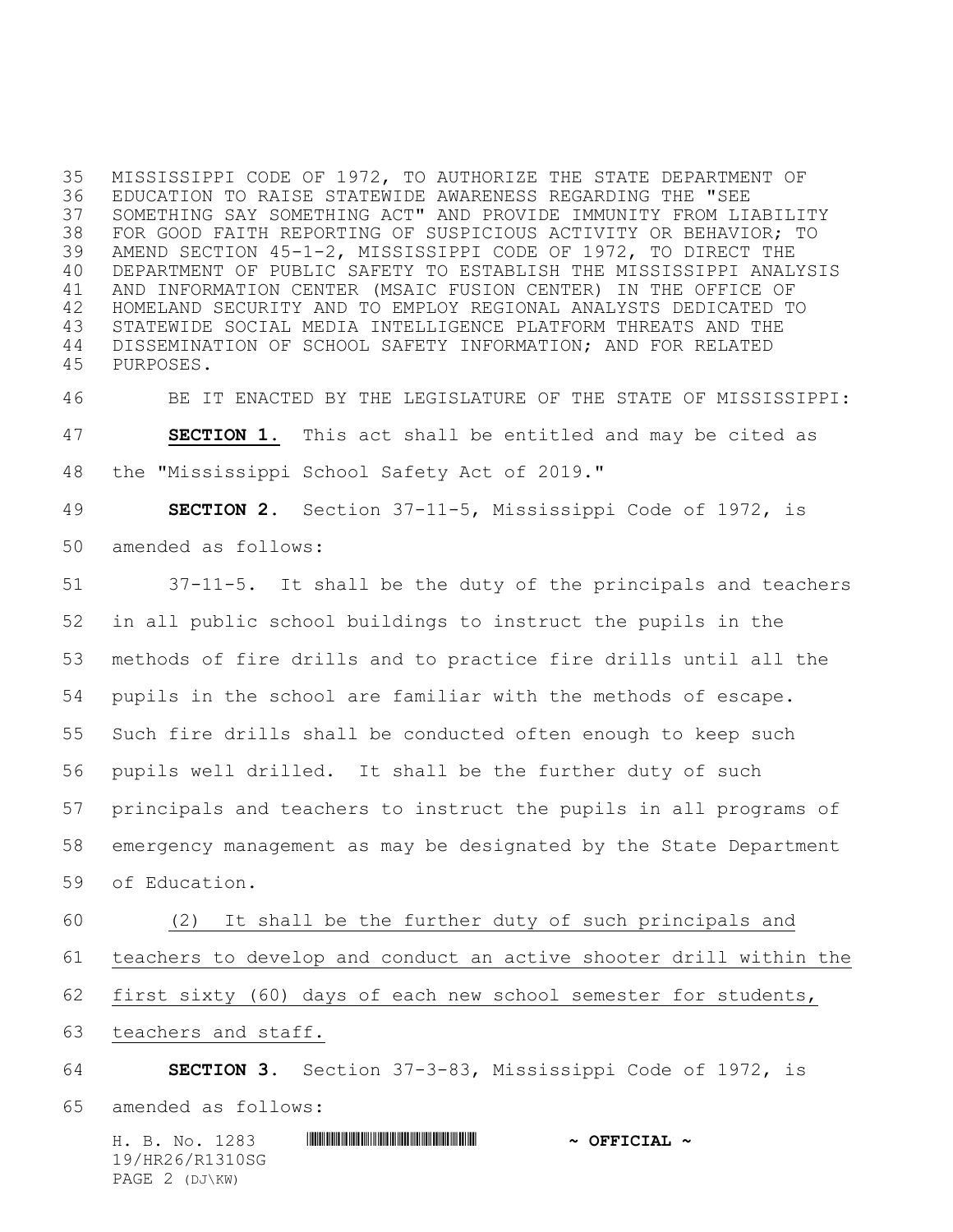MISSISSIPPI CODE OF 1972, TO AUTHORIZE THE STATE DEPARTMENT OF EDUCATION TO RAISE STATEWIDE AWARENESS REGARDING THE "SEE SOMETHING SAY SOMETHING ACT" AND PROVIDE IMMUNITY FROM LIABILITY FOR GOOD FAITH REPORTING OF SUSPICIOUS ACTIVITY OR BEHAVIOR; TO AMEND SECTION 45-1-2, MISSISSIPPI CODE OF 1972, TO DIRECT THE DEPARTMENT OF PUBLIC SAFETY TO ESTABLISH THE MISSISSIPPI ANALYSIS AND INFORMATION CENTER (MSAIC FUSION CENTER) IN THE OFFICE OF HOMELAND SECURITY AND TO EMPLOY REGIONAL ANALYSTS DEDICATED TO STATEWIDE SOCIAL MEDIA INTELLIGENCE PLATFORM THREATS AND THE DISSEMINATION OF SCHOOL SAFETY INFORMATION; AND FOR RELATED PURPOSES.

 BE IT ENACTED BY THE LEGISLATURE OF THE STATE OF MISSISSIPPI: **SECTION 1.** This act shall be entitled and may be cited as the "Mississippi School Safety Act of 2019."

 **SECTION 2.** Section 37-11-5, Mississippi Code of 1972, is amended as follows:

 37-11-5. It shall be the duty of the principals and teachers in all public school buildings to instruct the pupils in the methods of fire drills and to practice fire drills until all the pupils in the school are familiar with the methods of escape. Such fire drills shall be conducted often enough to keep such pupils well drilled. It shall be the further duty of such principals and teachers to instruct the pupils in all programs of emergency management as may be designated by the State Department of Education.

 (2) It shall be the further duty of such principals and teachers to develop and conduct an active shooter drill within the first sixty (60) days of each new school semester for students,

teachers and staff.

 **SECTION 3.** Section 37-3-83, Mississippi Code of 1972, is amended as follows:

H. B. No. 1283 \*HR26/R1310SG\* **~ OFFICIAL ~** 19/HR26/R1310SG PAGE 2 (DJ\KW)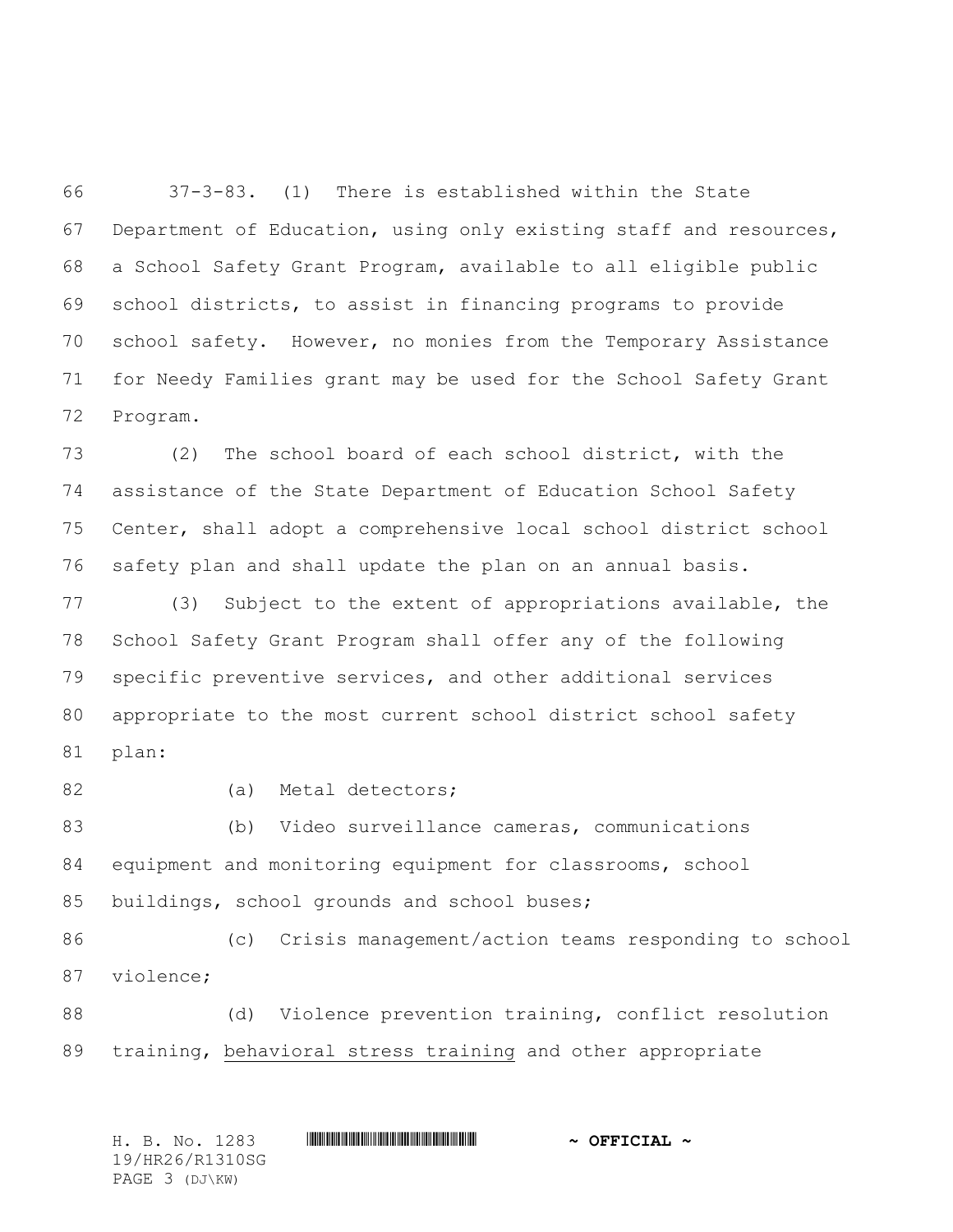37-3-83. (1) There is established within the State Department of Education, using only existing staff and resources, a School Safety Grant Program, available to all eligible public school districts, to assist in financing programs to provide school safety. However, no monies from the Temporary Assistance for Needy Families grant may be used for the School Safety Grant Program.

 (2) The school board of each school district, with the assistance of the State Department of Education School Safety Center, shall adopt a comprehensive local school district school safety plan and shall update the plan on an annual basis.

 (3) Subject to the extent of appropriations available, the School Safety Grant Program shall offer any of the following specific preventive services, and other additional services appropriate to the most current school district school safety plan:

82 (a) Metal detectors;

 (b) Video surveillance cameras, communications equipment and monitoring equipment for classrooms, school buildings, school grounds and school buses;

 (c) Crisis management/action teams responding to school violence;

 (d) Violence prevention training, conflict resolution training, behavioral stress training and other appropriate

H. B. No. 1283 \*HR26/R1310SG\* **~ OFFICIAL ~** 19/HR26/R1310SG PAGE 3 (DJ\KW)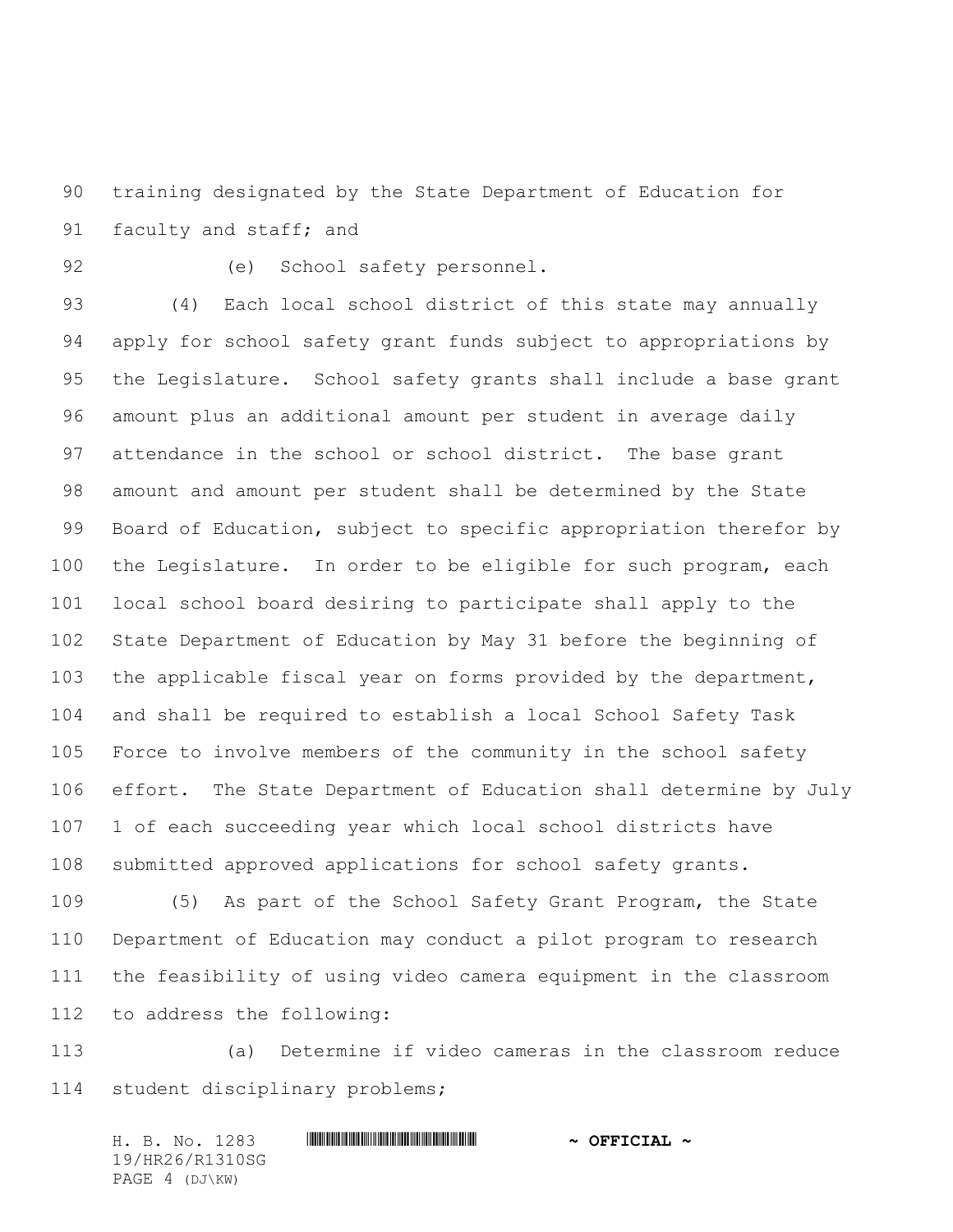training designated by the State Department of Education for 91 faculty and staff; and

(e) School safety personnel.

 (4) Each local school district of this state may annually apply for school safety grant funds subject to appropriations by the Legislature. School safety grants shall include a base grant amount plus an additional amount per student in average daily attendance in the school or school district. The base grant amount and amount per student shall be determined by the State Board of Education, subject to specific appropriation therefor by the Legislature. In order to be eligible for such program, each local school board desiring to participate shall apply to the State Department of Education by May 31 before the beginning of the applicable fiscal year on forms provided by the department, and shall be required to establish a local School Safety Task Force to involve members of the community in the school safety effort. The State Department of Education shall determine by July 1 of each succeeding year which local school districts have submitted approved applications for school safety grants.

 (5) As part of the School Safety Grant Program, the State Department of Education may conduct a pilot program to research the feasibility of using video camera equipment in the classroom to address the following:

 (a) Determine if video cameras in the classroom reduce student disciplinary problems;

H. B. No. 1283 **HIRNA-RANGE AND ALL AND A OFFICIAL ~** 19/HR26/R1310SG PAGE 4 (DJ\KW)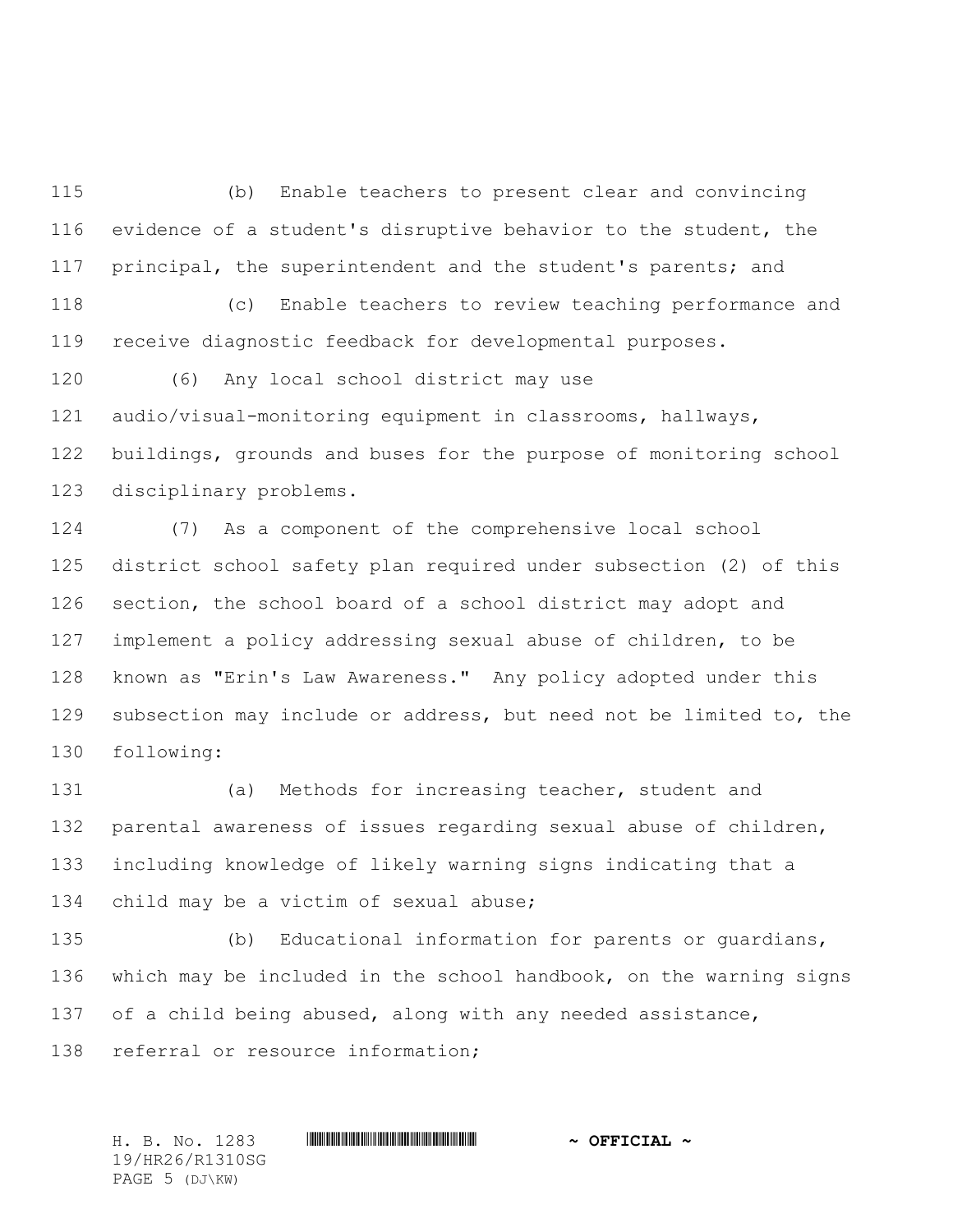(b) Enable teachers to present clear and convincing evidence of a student's disruptive behavior to the student, the principal, the superintendent and the student's parents; and (c) Enable teachers to review teaching performance and receive diagnostic feedback for developmental purposes.

 (6) Any local school district may use audio/visual-monitoring equipment in classrooms, hallways, buildings, grounds and buses for the purpose of monitoring school disciplinary problems.

 (7) As a component of the comprehensive local school district school safety plan required under subsection (2) of this section, the school board of a school district may adopt and implement a policy addressing sexual abuse of children, to be known as "Erin's Law Awareness." Any policy adopted under this subsection may include or address, but need not be limited to, the following:

 (a) Methods for increasing teacher, student and parental awareness of issues regarding sexual abuse of children, including knowledge of likely warning signs indicating that a 134 child may be a victim of sexual abuse;

 (b) Educational information for parents or guardians, which may be included in the school handbook, on the warning signs 137 of a child being abused, along with any needed assistance, 138 referral or resource information;

H. B. No. 1283 **. HREGIAL 4 CERTICIAL 4 8 (REFICIAL 4** 19/HR26/R1310SG PAGE 5 (DJ\KW)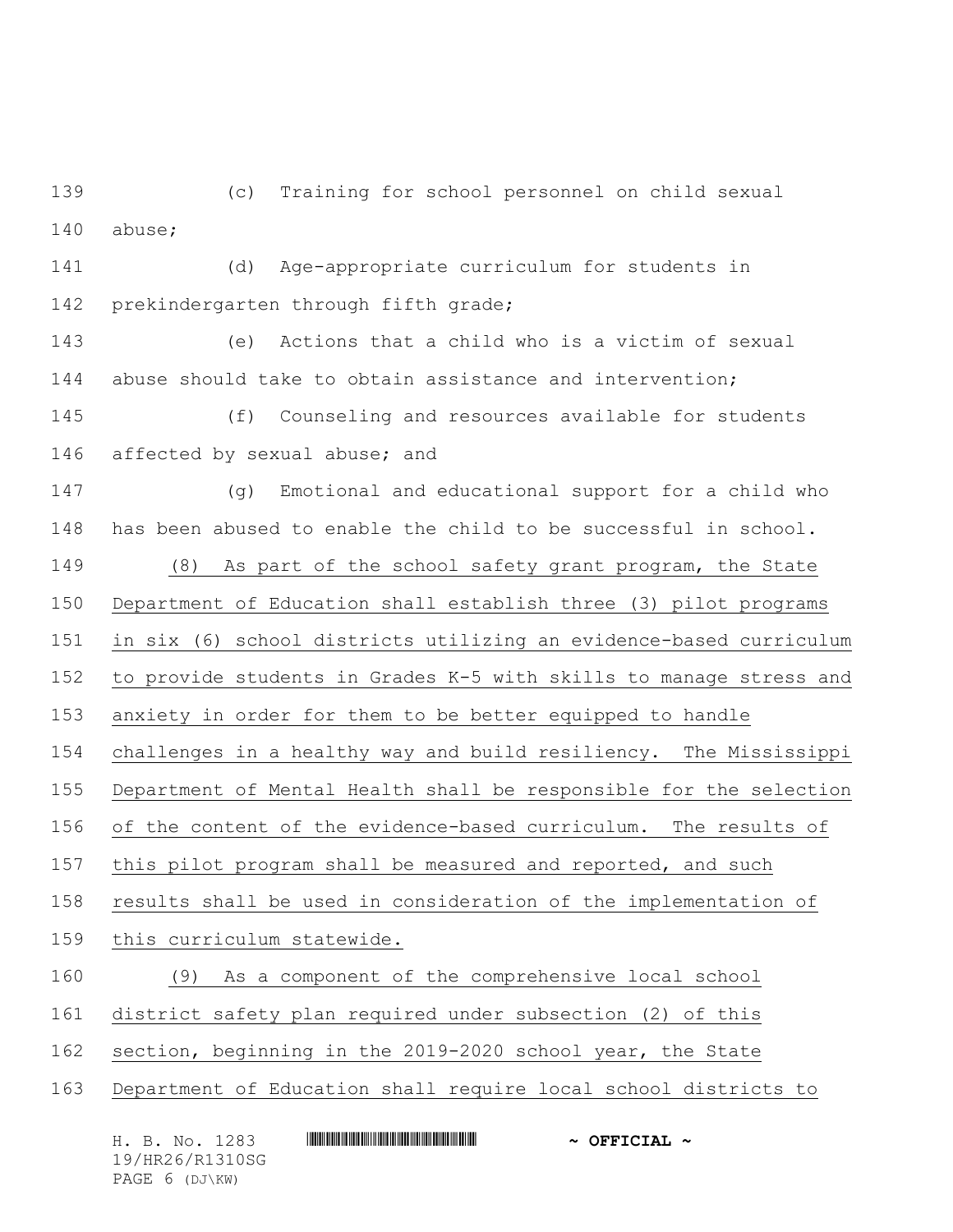(c) Training for school personnel on child sexual abuse;

 (d) Age-appropriate curriculum for students in prekindergarten through fifth grade;

 (e) Actions that a child who is a victim of sexual 144 abuse should take to obtain assistance and intervention;

 (f) Counseling and resources available for students affected by sexual abuse; and

 (g) Emotional and educational support for a child who has been abused to enable the child to be successful in school.

 (8) As part of the school safety grant program, the State Department of Education shall establish three (3) pilot programs in six (6) school districts utilizing an evidence-based curriculum

to provide students in Grades K-5 with skills to manage stress and

anxiety in order for them to be better equipped to handle

challenges in a healthy way and build resiliency. The Mississippi

Department of Mental Health shall be responsible for the selection

of the content of the evidence-based curriculum. The results of

this pilot program shall be measured and reported, and such

results shall be used in consideration of the implementation of

this curriculum statewide.

(9) As a component of the comprehensive local school

- district safety plan required under subsection (2) of this
- section, beginning in the 2019-2020 school year, the State
- Department of Education shall require local school districts to

H. B. No. 1283 \*HR26/R1310SG\* **~ OFFICIAL ~** 19/HR26/R1310SG PAGE 6 (DJ\KW)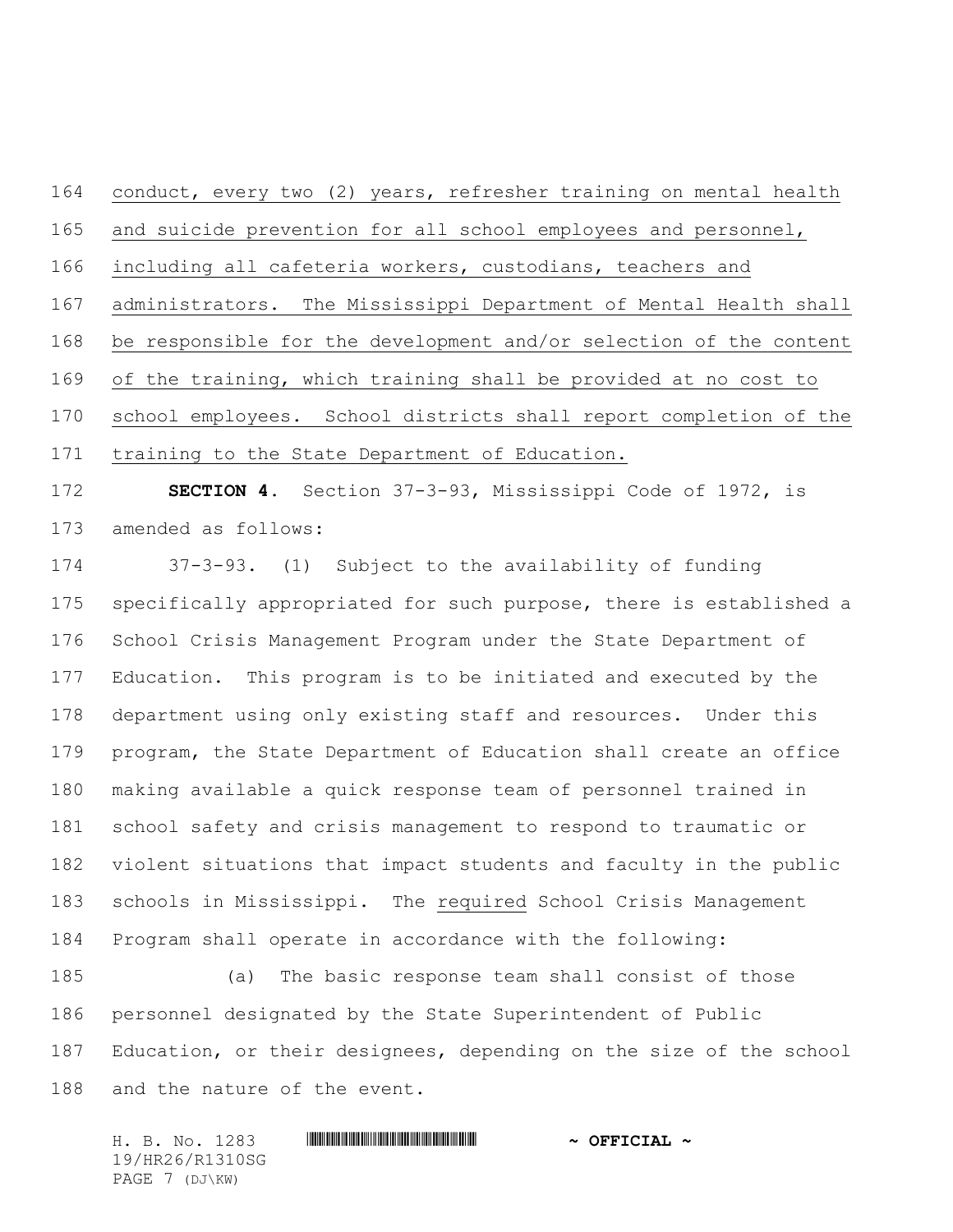conduct, every two (2) years, refresher training on mental health and suicide prevention for all school employees and personnel, including all cafeteria workers, custodians, teachers and administrators. The Mississippi Department of Mental Health shall be responsible for the development and/or selection of the content of the training, which training shall be provided at no cost to school employees. School districts shall report completion of the training to the State Department of Education.

 **SECTION 4.** Section 37-3-93, Mississippi Code of 1972, is amended as follows:

 37-3-93. (1) Subject to the availability of funding specifically appropriated for such purpose, there is established a School Crisis Management Program under the State Department of Education. This program is to be initiated and executed by the department using only existing staff and resources. Under this program, the State Department of Education shall create an office making available a quick response team of personnel trained in school safety and crisis management to respond to traumatic or violent situations that impact students and faculty in the public schools in Mississippi. The required School Crisis Management Program shall operate in accordance with the following:

 (a) The basic response team shall consist of those personnel designated by the State Superintendent of Public Education, or their designees, depending on the size of the school and the nature of the event.

H. B. No. 1283 **HIRNA-RANGE AND ALL AND A OFFICIAL ~** 19/HR26/R1310SG PAGE 7 (DJ\KW)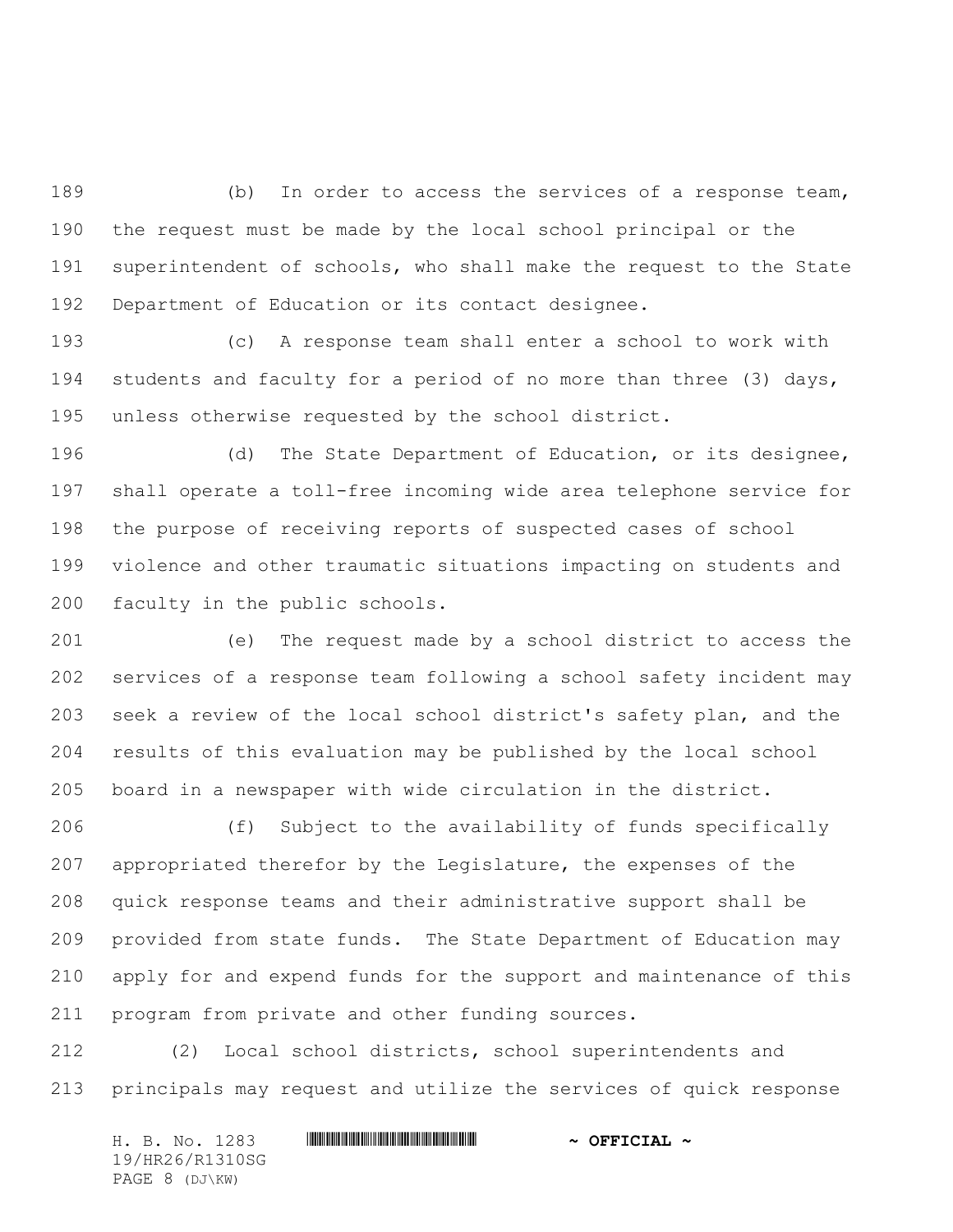(b) In order to access the services of a response team, the request must be made by the local school principal or the superintendent of schools, who shall make the request to the State Department of Education or its contact designee.

 (c) A response team shall enter a school to work with students and faculty for a period of no more than three (3) days, unless otherwise requested by the school district.

 (d) The State Department of Education, or its designee, shall operate a toll-free incoming wide area telephone service for the purpose of receiving reports of suspected cases of school violence and other traumatic situations impacting on students and faculty in the public schools.

 (e) The request made by a school district to access the services of a response team following a school safety incident may seek a review of the local school district's safety plan, and the results of this evaluation may be published by the local school board in a newspaper with wide circulation in the district.

 (f) Subject to the availability of funds specifically appropriated therefor by the Legislature, the expenses of the quick response teams and their administrative support shall be provided from state funds. The State Department of Education may apply for and expend funds for the support and maintenance of this program from private and other funding sources.

 (2) Local school districts, school superintendents and principals may request and utilize the services of quick response

H. B. No. 1283 \*HR26/R1310SG\* **~ OFFICIAL ~** 19/HR26/R1310SG PAGE 8 (DJ\KW)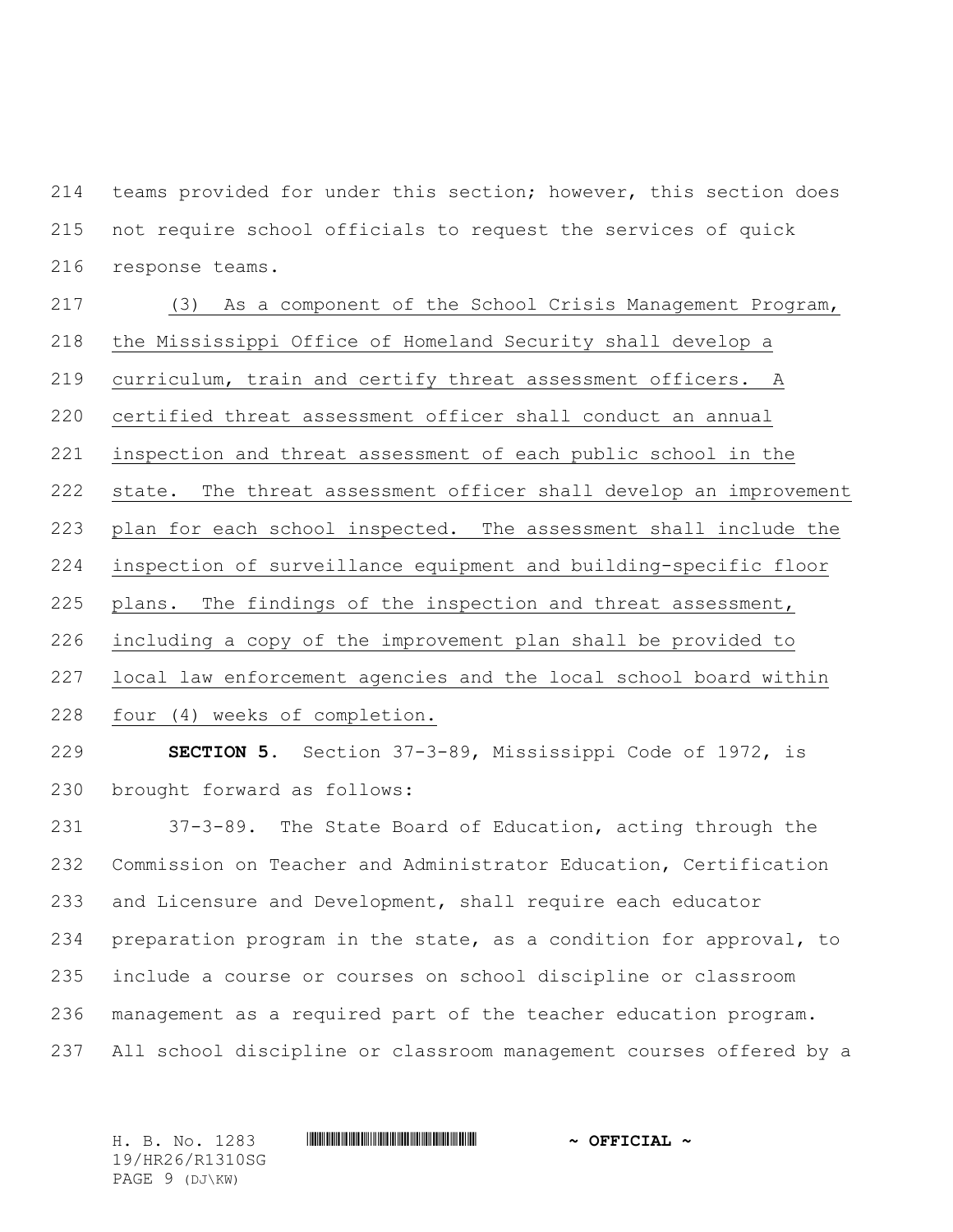teams provided for under this section; however, this section does not require school officials to request the services of quick response teams.

 (3) As a component of the School Crisis Management Program, the Mississippi Office of Homeland Security shall develop a curriculum, train and certify threat assessment officers. A certified threat assessment officer shall conduct an annual inspection and threat assessment of each public school in the state. The threat assessment officer shall develop an improvement plan for each school inspected. The assessment shall include the inspection of surveillance equipment and building-specific floor plans. The findings of the inspection and threat assessment, including a copy of the improvement plan shall be provided to local law enforcement agencies and the local school board within four (4) weeks of completion.

 **SECTION 5.** Section 37-3-89, Mississippi Code of 1972, is brought forward as follows:

 37-3-89. The State Board of Education, acting through the Commission on Teacher and Administrator Education, Certification and Licensure and Development, shall require each educator preparation program in the state, as a condition for approval, to include a course or courses on school discipline or classroom management as a required part of the teacher education program. All school discipline or classroom management courses offered by a

H. B. No. 1283 \*HR26/R1310SG\* **~ OFFICIAL ~** 19/HR26/R1310SG PAGE 9 (DJ\KW)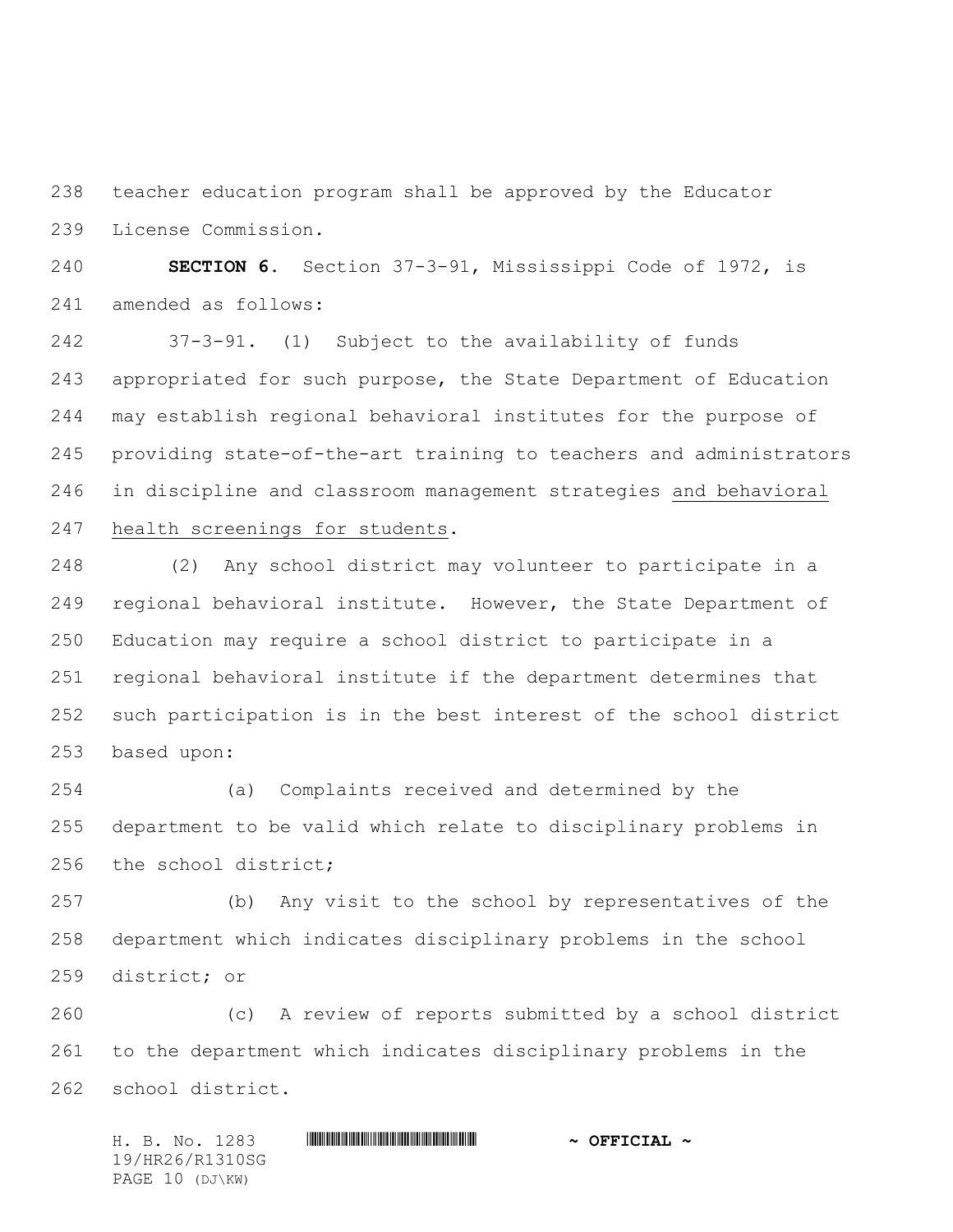teacher education program shall be approved by the Educator License Commission.

 **SECTION 6.** Section 37-3-91, Mississippi Code of 1972, is amended as follows:

 37-3-91. (1) Subject to the availability of funds appropriated for such purpose, the State Department of Education may establish regional behavioral institutes for the purpose of providing state-of-the-art training to teachers and administrators in discipline and classroom management strategies and behavioral health screenings for students.

 (2) Any school district may volunteer to participate in a regional behavioral institute. However, the State Department of Education may require a school district to participate in a regional behavioral institute if the department determines that such participation is in the best interest of the school district based upon:

 (a) Complaints received and determined by the department to be valid which relate to disciplinary problems in the school district;

 (b) Any visit to the school by representatives of the department which indicates disciplinary problems in the school district; or

 (c) A review of reports submitted by a school district to the department which indicates disciplinary problems in the school district.

H. B. No. 1283 \*HR26/R1310SG\* **~ OFFICIAL ~** 19/HR26/R1310SG PAGE 10 (DJ\KW)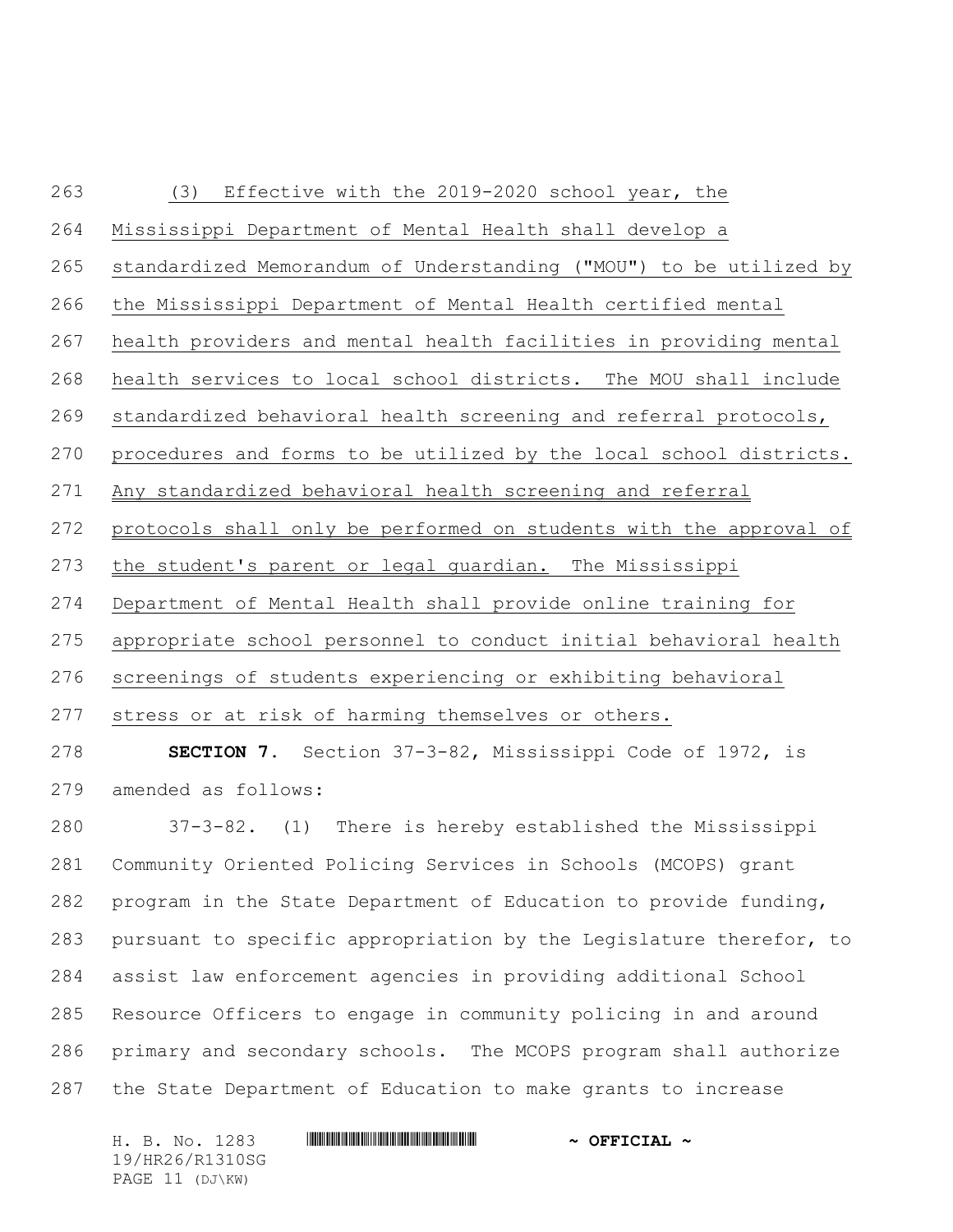## (3) Effective with the 2019-2020 school year, the Mississippi Department of Mental Health shall develop a standardized Memorandum of Understanding ("MOU") to be utilized by the Mississippi Department of Mental Health certified mental health providers and mental health facilities in providing mental health services to local school districts. The MOU shall include standardized behavioral health screening and referral protocols, procedures and forms to be utilized by the local school districts. Any standardized behavioral health screening and referral protocols shall only be performed on students with the approval of 273 the student's parent or legal guardian. The Mississippi Department of Mental Health shall provide online training for appropriate school personnel to conduct initial behavioral health screenings of students experiencing or exhibiting behavioral stress or at risk of harming themselves or others. **SECTION 7.** Section 37-3-82, Mississippi Code of 1972, is

amended as follows:

 37-3-82. (1) There is hereby established the Mississippi Community Oriented Policing Services in Schools (MCOPS) grant program in the State Department of Education to provide funding, pursuant to specific appropriation by the Legislature therefor, to assist law enforcement agencies in providing additional School Resource Officers to engage in community policing in and around primary and secondary schools. The MCOPS program shall authorize the State Department of Education to make grants to increase

H. B. No. 1283 **HIRNA-RANGE AND ALL AND A OFFICIAL ~** 19/HR26/R1310SG PAGE 11 (DJ\KW)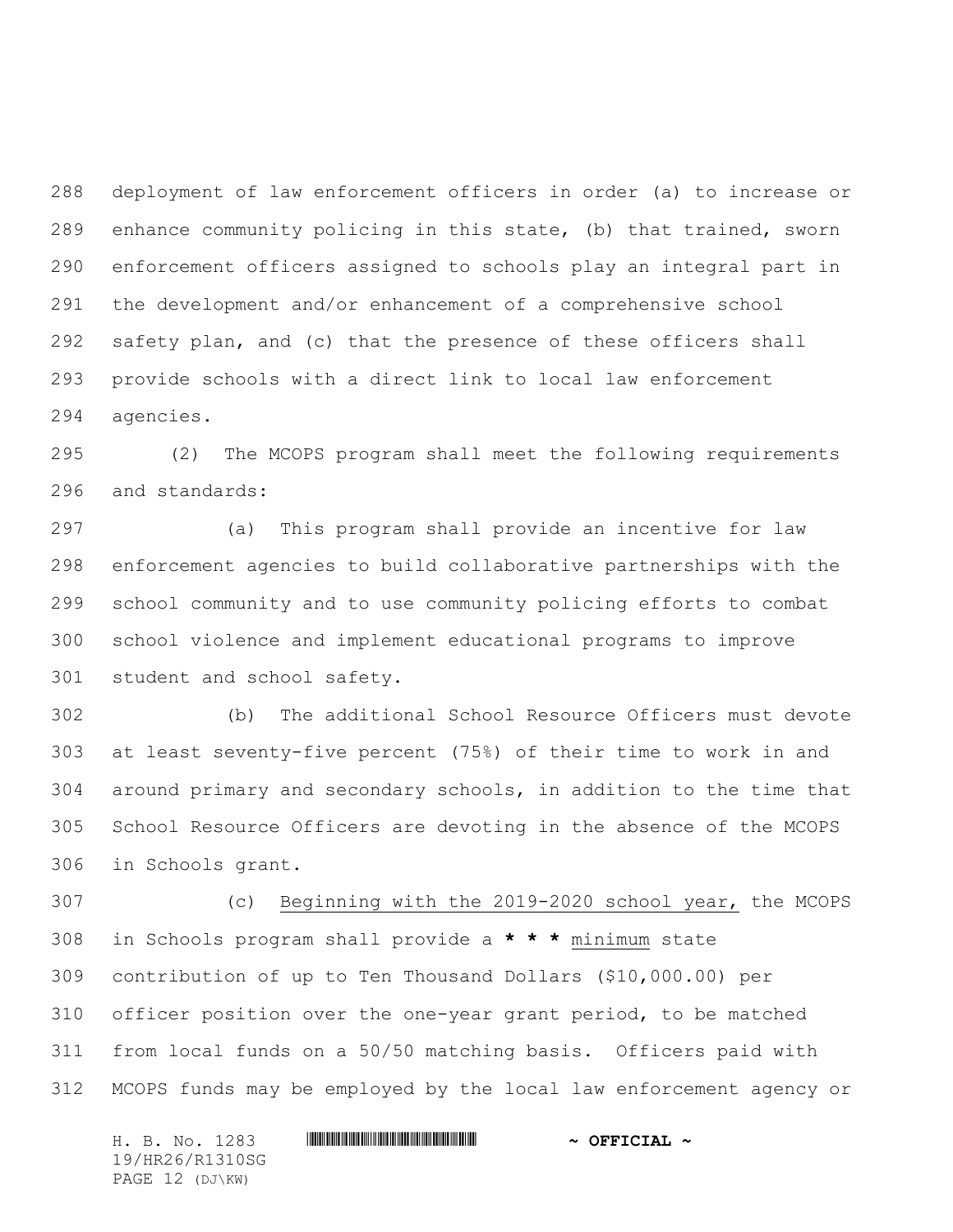deployment of law enforcement officers in order (a) to increase or enhance community policing in this state, (b) that trained, sworn enforcement officers assigned to schools play an integral part in the development and/or enhancement of a comprehensive school safety plan, and (c) that the presence of these officers shall provide schools with a direct link to local law enforcement agencies.

 (2) The MCOPS program shall meet the following requirements and standards:

 (a) This program shall provide an incentive for law enforcement agencies to build collaborative partnerships with the school community and to use community policing efforts to combat school violence and implement educational programs to improve student and school safety.

 (b) The additional School Resource Officers must devote at least seventy-five percent (75%) of their time to work in and around primary and secondary schools, in addition to the time that School Resource Officers are devoting in the absence of the MCOPS in Schools grant.

 (c) Beginning with the 2019-2020 school year, the MCOPS in Schools program shall provide a **\* \* \*** minimum state contribution of up to Ten Thousand Dollars (\$10,000.00) per officer position over the one-year grant period, to be matched from local funds on a 50/50 matching basis. Officers paid with MCOPS funds may be employed by the local law enforcement agency or

H. B. No. 1283 **HIRNA-RANGE AND ALL AND A OFFICIAL ~** 19/HR26/R1310SG PAGE 12 (DJ\KW)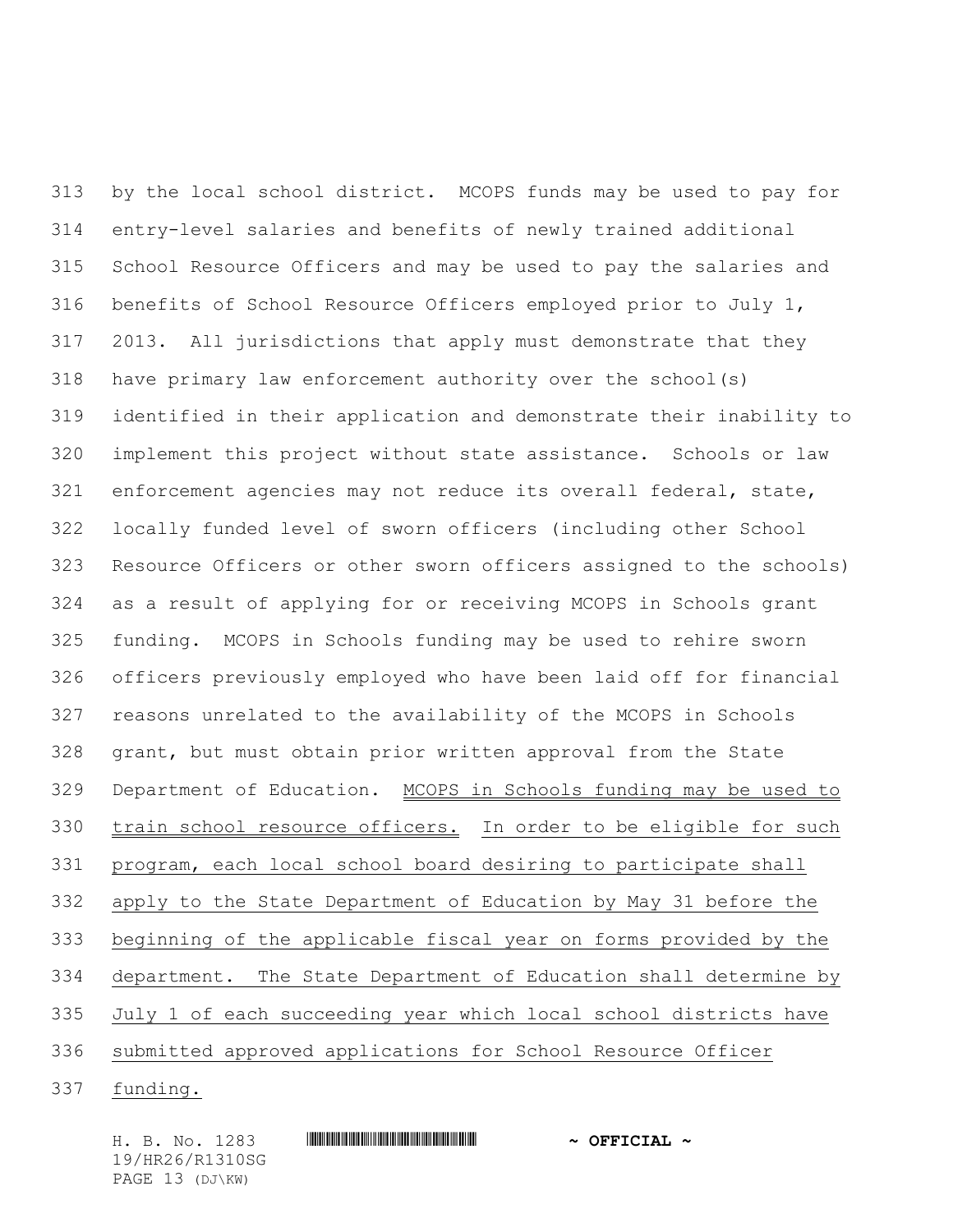by the local school district. MCOPS funds may be used to pay for entry-level salaries and benefits of newly trained additional School Resource Officers and may be used to pay the salaries and benefits of School Resource Officers employed prior to July 1, 2013. All jurisdictions that apply must demonstrate that they have primary law enforcement authority over the school(s) identified in their application and demonstrate their inability to implement this project without state assistance. Schools or law enforcement agencies may not reduce its overall federal, state, locally funded level of sworn officers (including other School Resource Officers or other sworn officers assigned to the schools) as a result of applying for or receiving MCOPS in Schools grant funding. MCOPS in Schools funding may be used to rehire sworn officers previously employed who have been laid off for financial reasons unrelated to the availability of the MCOPS in Schools grant, but must obtain prior written approval from the State Department of Education. MCOPS in Schools funding may be used to 330 train school resource officers. In order to be eligible for such program, each local school board desiring to participate shall apply to the State Department of Education by May 31 before the beginning of the applicable fiscal year on forms provided by the department. The State Department of Education shall determine by July 1 of each succeeding year which local school districts have submitted approved applications for School Resource Officer funding.

H. B. No. 1283 \*HR26/R1310SG\* **~ OFFICIAL ~** 19/HR26/R1310SG PAGE 13 (DJ\KW)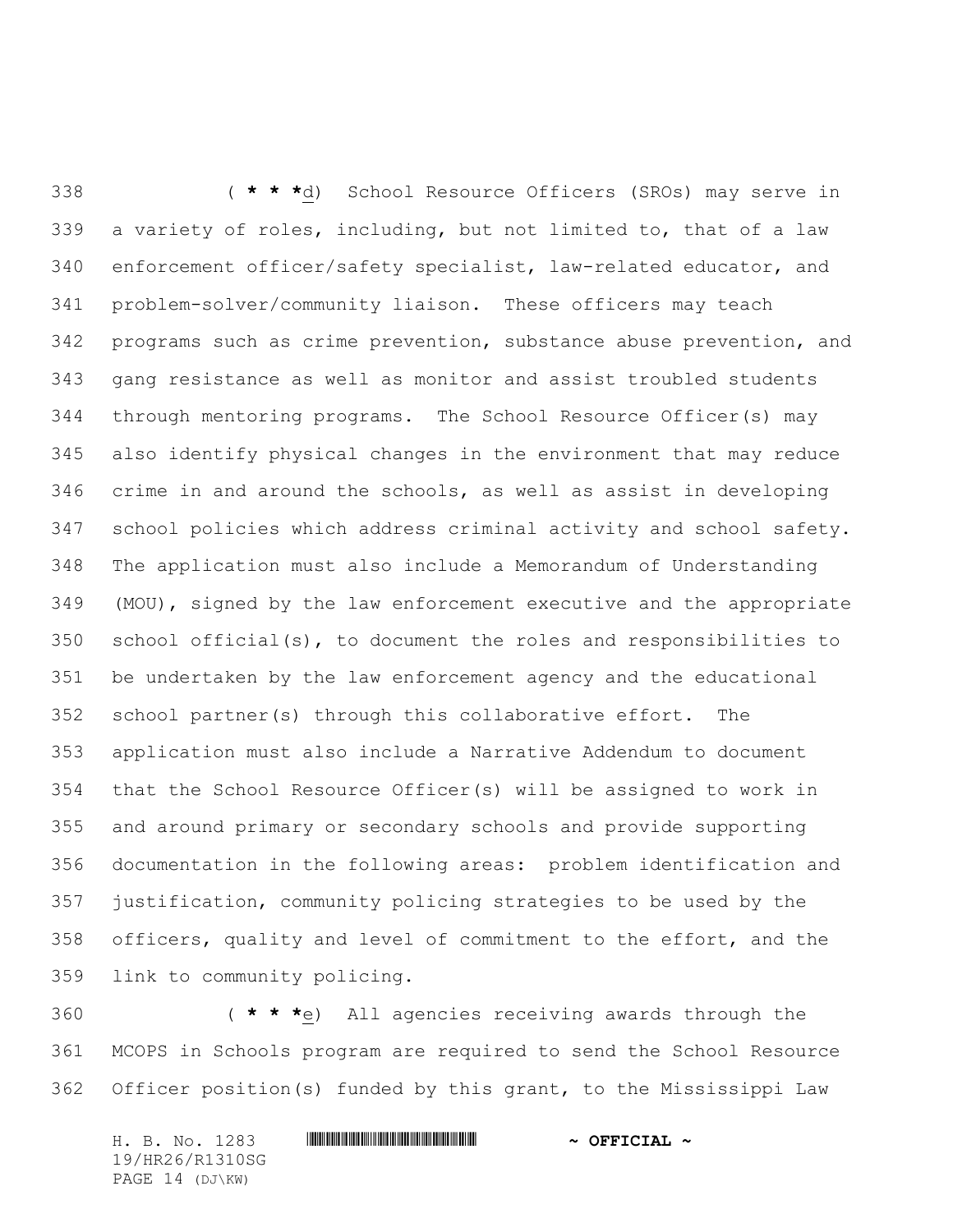( **\* \* \***d) School Resource Officers (SROs) may serve in a variety of roles, including, but not limited to, that of a law enforcement officer/safety specialist, law-related educator, and problem-solver/community liaison. These officers may teach programs such as crime prevention, substance abuse prevention, and gang resistance as well as monitor and assist troubled students through mentoring programs. The School Resource Officer(s) may also identify physical changes in the environment that may reduce crime in and around the schools, as well as assist in developing school policies which address criminal activity and school safety. The application must also include a Memorandum of Understanding (MOU), signed by the law enforcement executive and the appropriate school official(s), to document the roles and responsibilities to be undertaken by the law enforcement agency and the educational school partner(s) through this collaborative effort. The application must also include a Narrative Addendum to document that the School Resource Officer(s) will be assigned to work in and around primary or secondary schools and provide supporting documentation in the following areas: problem identification and justification, community policing strategies to be used by the officers, quality and level of commitment to the effort, and the link to community policing.

 ( **\* \* \***e) All agencies receiving awards through the MCOPS in Schools program are required to send the School Resource Officer position(s) funded by this grant, to the Mississippi Law

H. B. No. 1283 **HIRNA-RANGE AND ALL AND A OFFICIAL ~** 19/HR26/R1310SG PAGE 14 (DJ\KW)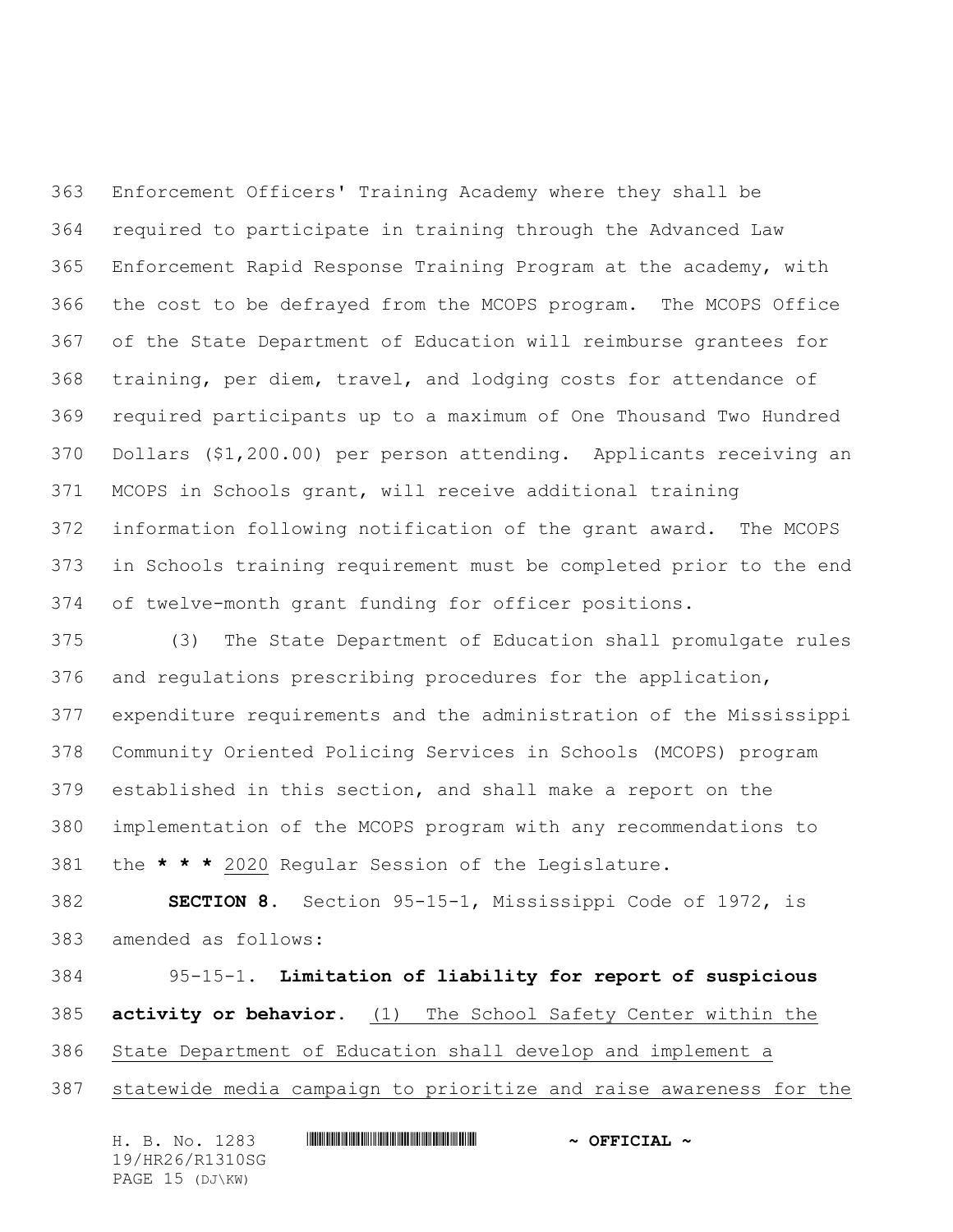Enforcement Officers' Training Academy where they shall be required to participate in training through the Advanced Law Enforcement Rapid Response Training Program at the academy, with the cost to be defrayed from the MCOPS program. The MCOPS Office of the State Department of Education will reimburse grantees for training, per diem, travel, and lodging costs for attendance of required participants up to a maximum of One Thousand Two Hundred Dollars (\$1,200.00) per person attending. Applicants receiving an MCOPS in Schools grant, will receive additional training information following notification of the grant award. The MCOPS in Schools training requirement must be completed prior to the end of twelve-month grant funding for officer positions.

 (3) The State Department of Education shall promulgate rules and regulations prescribing procedures for the application, expenditure requirements and the administration of the Mississippi Community Oriented Policing Services in Schools (MCOPS) program established in this section, and shall make a report on the implementation of the MCOPS program with any recommendations to the **\* \* \*** 2020 Regular Session of the Legislature.

 **SECTION 8.** Section 95-15-1, Mississippi Code of 1972, is amended as follows:

 95-15-1. **Limitation of liability for report of suspicious activity or behavior.** (1) The School Safety Center within the

State Department of Education shall develop and implement a

statewide media campaign to prioritize and raise awareness for the

H. B. No. 1283 \*HR26/R1310SG\* **~ OFFICIAL ~** 19/HR26/R1310SG PAGE 15 (DJ\KW)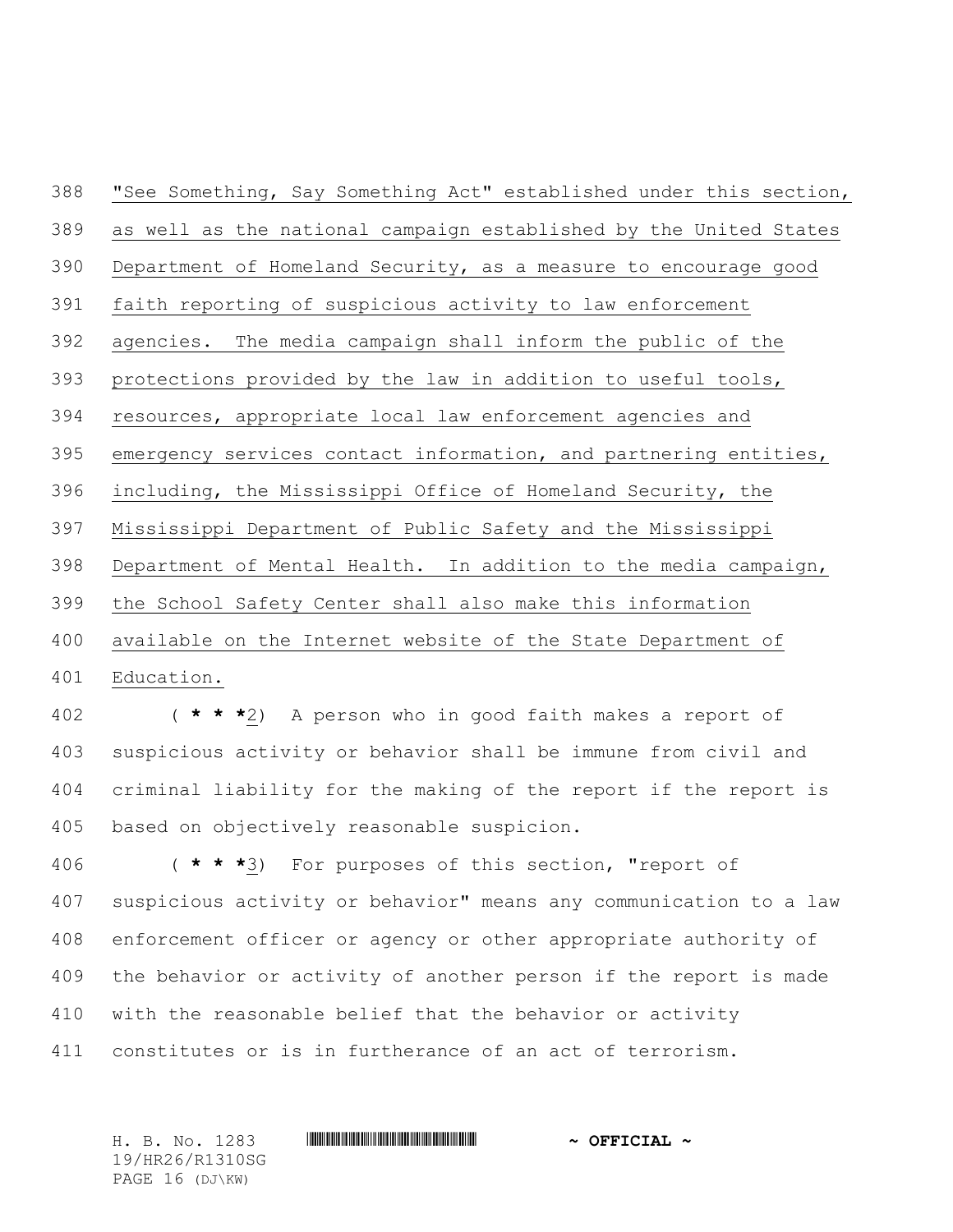"See Something, Say Something Act" established under this section, as well as the national campaign established by the United States Department of Homeland Security, as a measure to encourage good faith reporting of suspicious activity to law enforcement agencies. The media campaign shall inform the public of the protections provided by the law in addition to useful tools, resources, appropriate local law enforcement agencies and emergency services contact information, and partnering entities, including, the Mississippi Office of Homeland Security, the Mississippi Department of Public Safety and the Mississippi Department of Mental Health. In addition to the media campaign, the School Safety Center shall also make this information available on the Internet website of the State Department of Education.

 ( **\* \* \***2) A person who in good faith makes a report of suspicious activity or behavior shall be immune from civil and criminal liability for the making of the report if the report is based on objectively reasonable suspicion.

 ( **\* \* \***3) For purposes of this section, "report of suspicious activity or behavior" means any communication to a law enforcement officer or agency or other appropriate authority of the behavior or activity of another person if the report is made with the reasonable belief that the behavior or activity constitutes or is in furtherance of an act of terrorism.

H. B. No. 1283 **HIRNA-RANGE AND ALL AND A OFFICIAL ~** 19/HR26/R1310SG PAGE 16 (DJ\KW)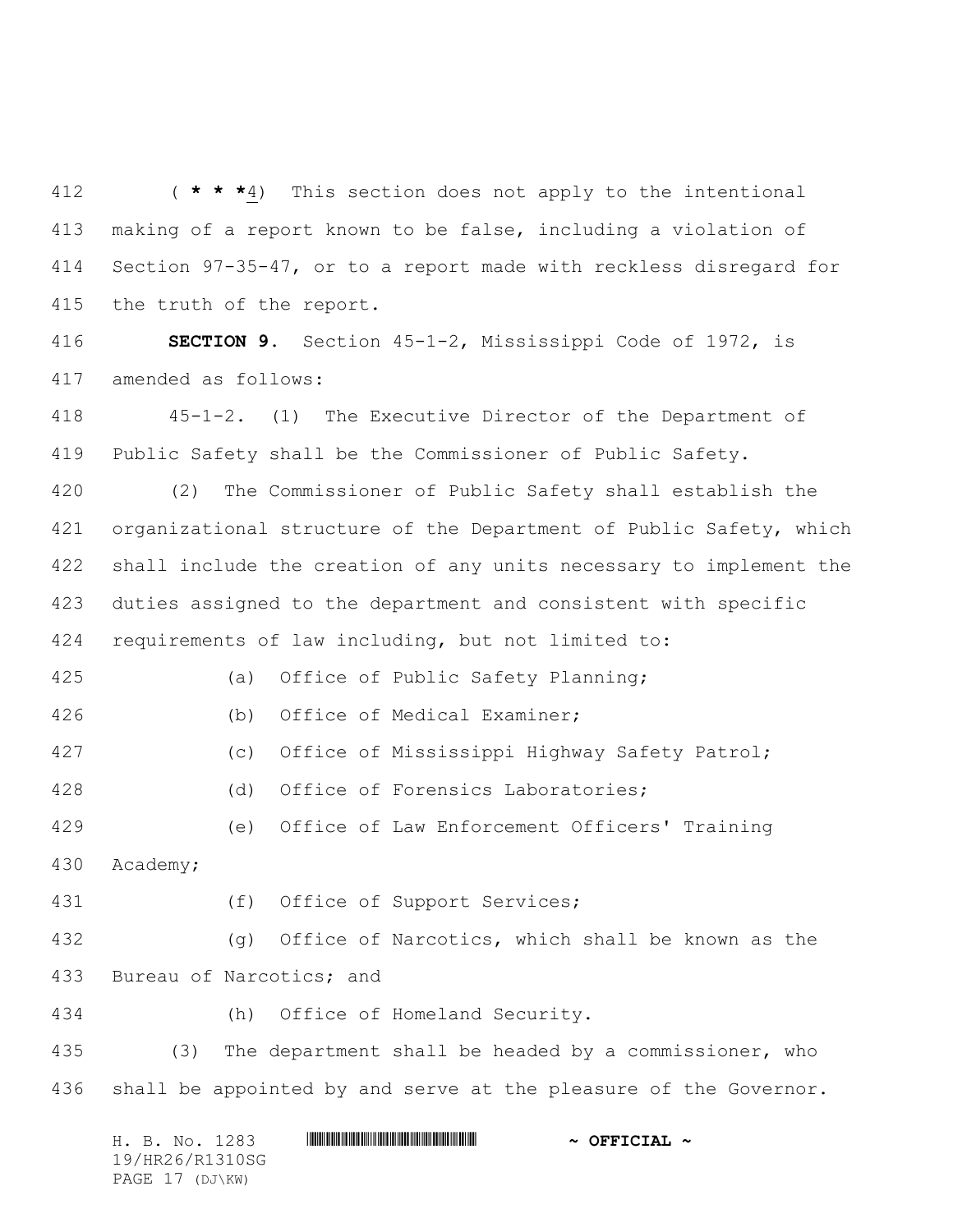( **\* \* \***4) This section does not apply to the intentional making of a report known to be false, including a violation of Section 97-35-47, or to a report made with reckless disregard for the truth of the report.

 **SECTION 9.** Section 45-1-2, Mississippi Code of 1972, is amended as follows:

 45-1-2. (1) The Executive Director of the Department of Public Safety shall be the Commissioner of Public Safety.

 (2) The Commissioner of Public Safety shall establish the organizational structure of the Department of Public Safety, which shall include the creation of any units necessary to implement the duties assigned to the department and consistent with specific requirements of law including, but not limited to:

(a) Office of Public Safety Planning;

(b) Office of Medical Examiner;

(c) Office of Mississippi Highway Safety Patrol;

(d) Office of Forensics Laboratories;

(e) Office of Law Enforcement Officers' Training

Academy;

431 (f) Office of Support Services;

 (g) Office of Narcotics, which shall be known as the Bureau of Narcotics; and

(h) Office of Homeland Security.

 (3) The department shall be headed by a commissioner, who 436 shall be appointed by and serve at the pleasure of the Governor.

H. B. No. 1283 \*HR26/R1310SG\* **~ OFFICIAL ~** 19/HR26/R1310SG PAGE 17 (DJ\KW)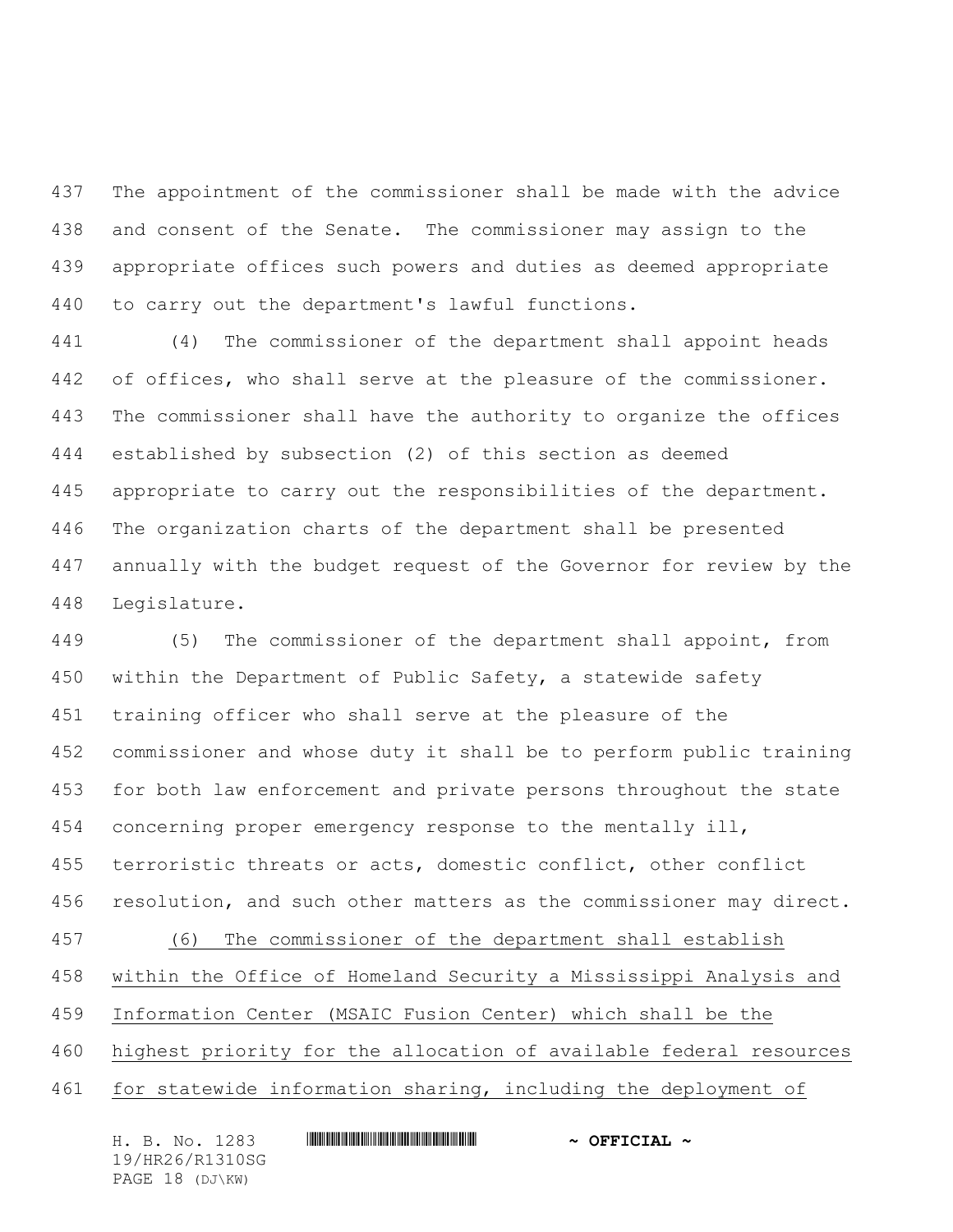The appointment of the commissioner shall be made with the advice and consent of the Senate. The commissioner may assign to the appropriate offices such powers and duties as deemed appropriate to carry out the department's lawful functions.

 (4) The commissioner of the department shall appoint heads 442 of offices, who shall serve at the pleasure of the commissioner. The commissioner shall have the authority to organize the offices established by subsection (2) of this section as deemed appropriate to carry out the responsibilities of the department. The organization charts of the department shall be presented annually with the budget request of the Governor for review by the Legislature.

 (5) The commissioner of the department shall appoint, from within the Department of Public Safety, a statewide safety training officer who shall serve at the pleasure of the commissioner and whose duty it shall be to perform public training for both law enforcement and private persons throughout the state concerning proper emergency response to the mentally ill, terroristic threats or acts, domestic conflict, other conflict resolution, and such other matters as the commissioner may direct. (6) The commissioner of the department shall establish within the Office of Homeland Security a Mississippi Analysis and Information Center (MSAIC Fusion Center) which shall be the highest priority for the allocation of available federal resources for statewide information sharing, including the deployment of

H. B. No. 1283 \*HR26/R1310SG\* **~ OFFICIAL ~** 19/HR26/R1310SG PAGE 18 (DJ\KW)